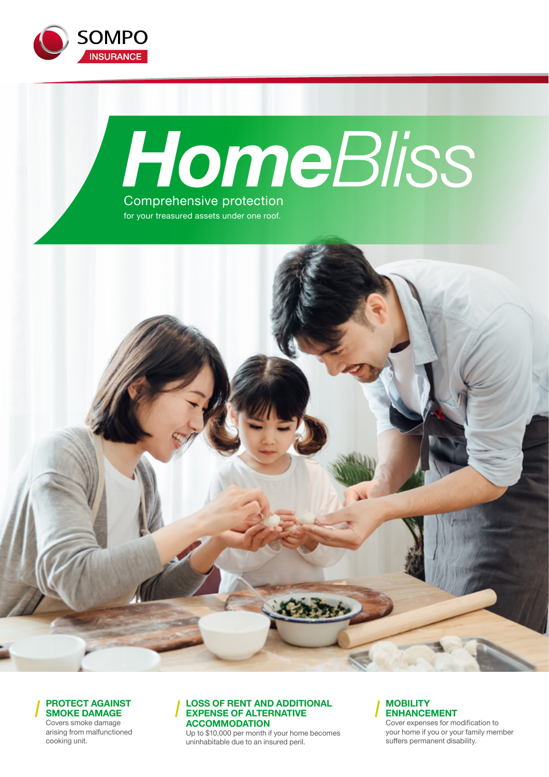



for your treasured assets under one roof.





Covers smoke damage arising from malfunctioned cooking unit.

#### **LOSS OF RENT AND ADDITIONAL EXPENSE OF ALTERNATIVE ACCOMMODATION**

Up to \$10,000 per month if your home becomes uninhabitable due to an insured peril.

#### **MOBILITY ENHANCEMENT**

Cover expenses for modification to your home if you or your family member suffers permanent disability.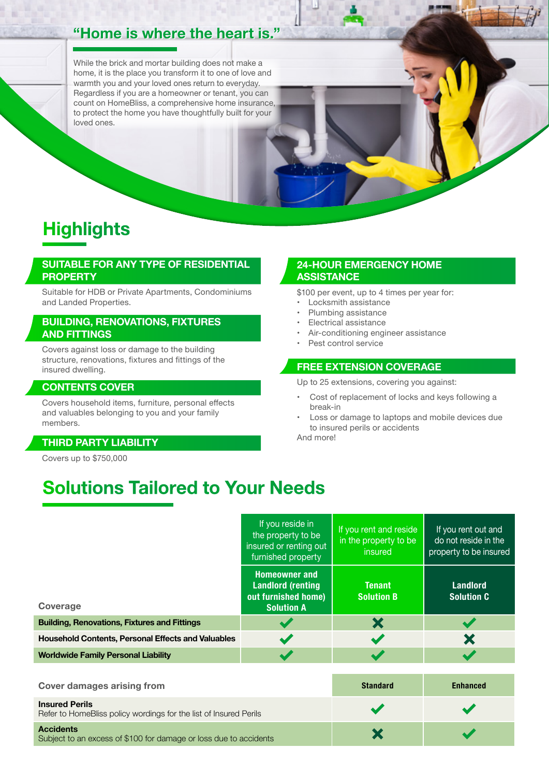# **"Home is where the heart is." "Home is where the heart is."**

While the brick and mortar building does not make a home, it is the place you transform it to one of love and warmth you and your loved ones return to everyday. Regardless if you are a homeowner or tenant, you can count on HomeBliss, a comprehensive home insurance, to protect the home you have thoughtfully built for your loved ones.

# **Highlights**

#### **SUITABLE FOR ANY TYPE OF RESIDENTIAL PROPERTY**

Suitable for HDB or Private Apartments, Condominiums and Landed Properties.

#### **BUILDING, RENOVATIONS, FIXTURES AND FITTINGS**

Covers against loss or damage to the building structure, renovations, fixtures and fittings of the insured dwelling.

#### **CONTENTS COVER**

Covers household items, furniture, personal effects and valuables belonging to you and your family members.

#### **THIRD PARTY LIABILITY**

Covers up to \$750,000

#### **24-HOUR EMERGENCY HOME ASSISTANCE**

\$100 per event, up to 4 times per year for:

- Locksmith assistance
- Plumbing assistance
- Electrical assistance
- Air-conditioning engineer assistance
- Pest control service

#### **FREE EXTENSION COVERAGE**

Up to 25 extensions, covering you against:

- Cost of replacement of locks and keys following a break-in
- Loss or damage to laptops and mobile devices due to insured perils or accidents

And more!

# **Solutions Tailored to Your Needs**

|                                                           | If you reside in<br>If you rent and reside<br>the property to be<br>in the property to be<br>insured or renting out<br>insured<br>furnished property |                                    | If you rent out and<br>do not reside in the<br>property to be insured |
|-----------------------------------------------------------|------------------------------------------------------------------------------------------------------------------------------------------------------|------------------------------------|-----------------------------------------------------------------------|
| Coverage                                                  | <b>Homeowner and</b><br><b>Landlord (renting</b><br>out furnished home)<br><b>Solution A</b>                                                         | <b>Tenant</b><br><b>Solution B</b> | <b>Landlord</b><br><b>Solution C</b>                                  |
| <b>Building, Renovations, Fixtures and Fittings</b>       |                                                                                                                                                      | X                                  |                                                                       |
| <b>Household Contents, Personal Effects and Valuables</b> |                                                                                                                                                      |                                    | X                                                                     |
| <b>Worldwide Family Personal Liability</b>                |                                                                                                                                                      |                                    |                                                                       |

| <b>Cover damages arising from</b>                                                          | <b>Standard</b> | <b>Enhanced</b> |
|--------------------------------------------------------------------------------------------|-----------------|-----------------|
| <b>Insured Perils</b><br>Refer to HomeBliss policy wordings for the list of Insured Perils |                 |                 |
| <b>Accidents</b><br>Subject to an excess of \$100 for damage or loss due to accidents      |                 |                 |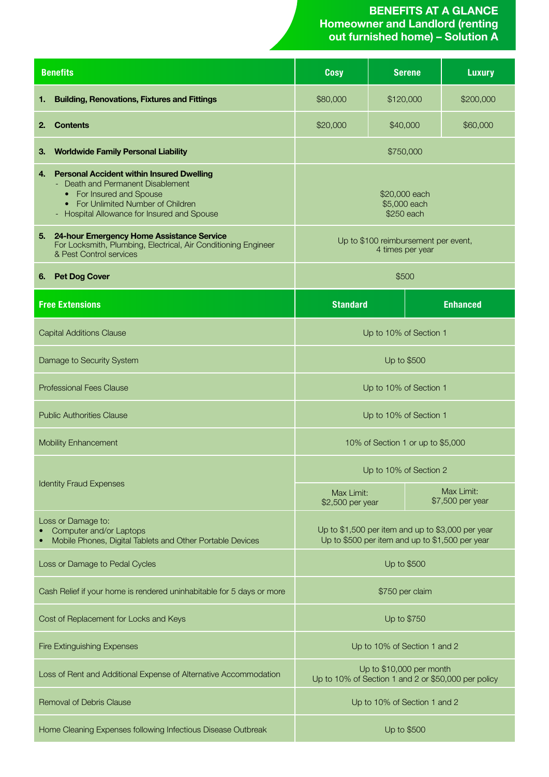#### **BENEFITS AT A GLANCE Homeowner and Landlord (renting out furnished home) – Solution A**

| <b>Benefits</b>                |                                                                                                                                                                                                    | <b>Cosy</b>                                                                                          | <b>Serene</b>                  | <b>Luxury</b>   |
|--------------------------------|----------------------------------------------------------------------------------------------------------------------------------------------------------------------------------------------------|------------------------------------------------------------------------------------------------------|--------------------------------|-----------------|
| 1.                             | <b>Building, Renovations, Fixtures and Fittings</b>                                                                                                                                                | \$80,000                                                                                             | \$120,000                      | \$200,000       |
| 2.                             | <b>Contents</b>                                                                                                                                                                                    | \$20,000                                                                                             | \$40,000                       | \$60,000        |
| З.                             | <b>Worldwide Family Personal Liability</b>                                                                                                                                                         |                                                                                                      | \$750,000                      |                 |
| 4.                             | <b>Personal Accident within Insured Dwelling</b><br>Death and Permanent Disablement<br>• For Insured and Spouse<br>• For Unlimited Number of Children<br>Hospital Allowance for Insured and Spouse | \$20,000 each<br>\$5,000 each<br>\$250 each                                                          |                                |                 |
| 5.                             | 24-hour Emergency Home Assistance Service<br>For Locksmith, Plumbing, Electrical, Air Conditioning Engineer<br>& Pest Control services                                                             | Up to \$100 reimbursement per event,<br>4 times per year                                             |                                |                 |
| 6.                             | <b>Pet Dog Cover</b>                                                                                                                                                                               | \$500                                                                                                |                                |                 |
|                                | <b>Free Extensions</b>                                                                                                                                                                             | <b>Standard</b>                                                                                      |                                | <b>Enhanced</b> |
|                                | <b>Capital Additions Clause</b>                                                                                                                                                                    | Up to 10% of Section 1                                                                               |                                |                 |
|                                | Damage to Security System                                                                                                                                                                          | Up to \$500                                                                                          |                                |                 |
|                                | <b>Professional Fees Clause</b>                                                                                                                                                                    | Up to 10% of Section 1                                                                               |                                |                 |
|                                | <b>Public Authorities Clause</b>                                                                                                                                                                   | Up to 10% of Section 1                                                                               |                                |                 |
|                                | <b>Mobility Enhancement</b>                                                                                                                                                                        | 10% of Section 1 or up to \$5,000                                                                    |                                |                 |
| <b>Identity Fraud Expenses</b> |                                                                                                                                                                                                    | Up to 10% of Section 2                                                                               |                                |                 |
|                                |                                                                                                                                                                                                    | Max Limit:<br>\$2,500 per year                                                                       | Max Limit:<br>\$7,500 per year |                 |
|                                | Loss or Damage to:<br>Computer and/or Laptops<br>Mobile Phones, Digital Tablets and Other Portable Devices                                                                                         | Up to \$1,500 per item and up to \$3,000 per year<br>Up to \$500 per item and up to \$1,500 per year |                                |                 |
|                                | Loss or Damage to Pedal Cycles                                                                                                                                                                     | Up to \$500                                                                                          |                                |                 |
|                                | Cash Relief if your home is rendered uninhabitable for 5 days or more                                                                                                                              | \$750 per claim                                                                                      |                                |                 |
|                                | Cost of Replacement for Locks and Keys                                                                                                                                                             | Up to \$750                                                                                          |                                |                 |
|                                | <b>Fire Extinguishing Expenses</b>                                                                                                                                                                 | Up to 10% of Section 1 and 2                                                                         |                                |                 |
|                                | Loss of Rent and Additional Expense of Alternative Accommodation                                                                                                                                   | Up to \$10,000 per month<br>Up to 10% of Section 1 and 2 or \$50,000 per policy                      |                                |                 |
|                                | <b>Removal of Debris Clause</b>                                                                                                                                                                    | Up to 10% of Section 1 and 2                                                                         |                                |                 |
|                                | Home Cleaning Expenses following Infectious Disease Outbreak                                                                                                                                       | Up to \$500                                                                                          |                                |                 |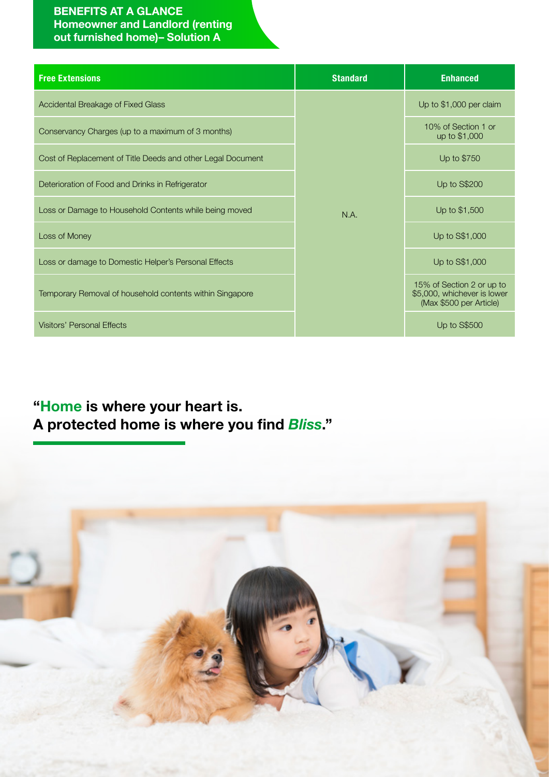### **BENEFITS AT A GLANCE Homeowner and Landlord (renting out furnished home)– Solution A**

| <b>Free Extensions</b>                                      | <b>Standard</b> | <b>Enhanced</b>                                                                     |
|-------------------------------------------------------------|-----------------|-------------------------------------------------------------------------------------|
| Accidental Breakage of Fixed Glass                          |                 | Up to \$1,000 per claim                                                             |
| Conservancy Charges (up to a maximum of 3 months)           | N.A.            | 10% of Section 1 or<br>up to \$1,000                                                |
| Cost of Replacement of Title Deeds and other Legal Document |                 | Up to \$750                                                                         |
| Deterioration of Food and Drinks in Refrigerator            |                 | <b>Up to S\$200</b>                                                                 |
| Loss or Damage to Household Contents while being moved      |                 | Up to \$1,500                                                                       |
| Loss of Money                                               |                 | Up to S\$1,000                                                                      |
| Loss or damage to Domestic Helper's Personal Effects        |                 | Up to S\$1,000                                                                      |
| Temporary Removal of household contents within Singapore    |                 | 15% of Section 2 or up to<br>\$5,000, whichever is lower<br>(Max \$500 per Article) |
| <b>Visitors' Personal Effects</b>                           |                 | Up to S\$500                                                                        |

# **"Home is where your heart is. A protected home is where you find** *Bliss***."**

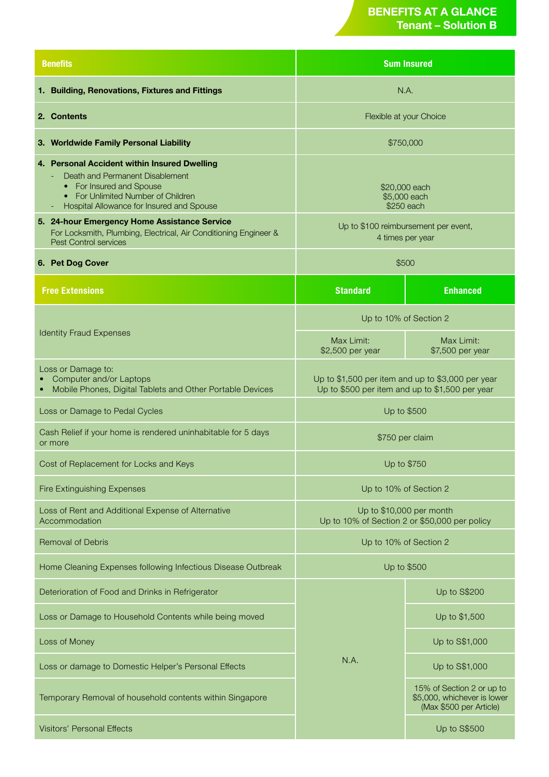## **BENEFITS AT A GLANCE Tenant – Solution B**

| <b>Benefits</b>                                                                                                                                                                                |  | <b>Sum Insured</b>                                                                                   |                                                                                     |  |
|------------------------------------------------------------------------------------------------------------------------------------------------------------------------------------------------|--|------------------------------------------------------------------------------------------------------|-------------------------------------------------------------------------------------|--|
| 1. Building, Renovations, Fixtures and Fittings                                                                                                                                                |  | N.A.                                                                                                 |                                                                                     |  |
| 2. Contents                                                                                                                                                                                    |  | Flexible at your Choice                                                                              |                                                                                     |  |
| 3. Worldwide Family Personal Liability                                                                                                                                                         |  | \$750,000                                                                                            |                                                                                     |  |
| 4. Personal Accident within Insured Dwelling<br>Death and Permanent Disablement<br>• For Insured and Spouse<br>• For Unlimited Number of Children<br>Hospital Allowance for Insured and Spouse |  | \$20,000 each<br>\$5,000 each<br>\$250 each                                                          |                                                                                     |  |
| 5. 24-hour Emergency Home Assistance Service<br>For Locksmith, Plumbing, Electrical, Air Conditioning Engineer &<br><b>Pest Control services</b>                                               |  | Up to \$100 reimbursement per event,<br>4 times per year                                             |                                                                                     |  |
| 6. Pet Dog Cover                                                                                                                                                                               |  | \$500                                                                                                |                                                                                     |  |
| <b>Free Extensions</b>                                                                                                                                                                         |  | <b>Standard</b>                                                                                      | <b>Enhanced</b>                                                                     |  |
| <b>Identity Fraud Expenses</b>                                                                                                                                                                 |  | Up to 10% of Section 2                                                                               |                                                                                     |  |
|                                                                                                                                                                                                |  | Max Limit:<br>\$2,500 per year                                                                       | Max Limit:<br>\$7,500 per year                                                      |  |
| Loss or Damage to:<br>Computer and/or Laptops<br>• Mobile Phones, Digital Tablets and Other Portable Devices                                                                                   |  | Up to \$1,500 per item and up to \$3,000 per year<br>Up to \$500 per item and up to \$1,500 per year |                                                                                     |  |
| Loss or Damage to Pedal Cycles                                                                                                                                                                 |  | Up to \$500                                                                                          |                                                                                     |  |
| Cash Relief if your home is rendered uninhabitable for 5 days<br>or more                                                                                                                       |  | \$750 per claim                                                                                      |                                                                                     |  |
| Cost of Replacement for Locks and Keys                                                                                                                                                         |  | Up to \$750                                                                                          |                                                                                     |  |
| <b>Fire Extinguishing Expenses</b>                                                                                                                                                             |  | Up to 10% of Section 2                                                                               |                                                                                     |  |
| Loss of Rent and Additional Expense of Alternative<br>Accommodation                                                                                                                            |  | Up to \$10,000 per month<br>Up to 10% of Section 2 or \$50,000 per policy                            |                                                                                     |  |
| <b>Removal of Debris</b>                                                                                                                                                                       |  | Up to 10% of Section 2                                                                               |                                                                                     |  |
| Home Cleaning Expenses following Infectious Disease Outbreak                                                                                                                                   |  | Up to \$500                                                                                          |                                                                                     |  |
| Deterioration of Food and Drinks in Refrigerator                                                                                                                                               |  |                                                                                                      | <b>Up to S\$200</b>                                                                 |  |
| Loss or Damage to Household Contents while being moved                                                                                                                                         |  |                                                                                                      | Up to \$1,500                                                                       |  |
| Loss of Money                                                                                                                                                                                  |  |                                                                                                      | Up to S\$1,000                                                                      |  |
| Loss or damage to Domestic Helper's Personal Effects                                                                                                                                           |  | N.A.                                                                                                 | Up to S\$1,000                                                                      |  |
| Temporary Removal of household contents within Singapore                                                                                                                                       |  |                                                                                                      | 15% of Section 2 or up to<br>\$5,000, whichever is lower<br>(Max \$500 per Article) |  |
| <b>Visitors' Personal Effects</b>                                                                                                                                                              |  |                                                                                                      | <b>Up to S\$500</b>                                                                 |  |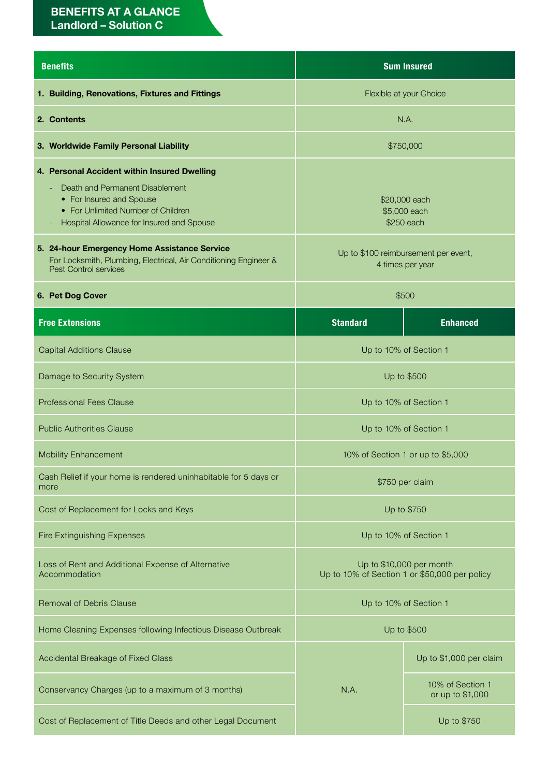## **BENEFITS AT A GLANCE Landlord – Solution C**

| <b>Benefits</b>                                                                                                                                                                                                  | <b>Sum Insured</b>                                                        |                                      |  |
|------------------------------------------------------------------------------------------------------------------------------------------------------------------------------------------------------------------|---------------------------------------------------------------------------|--------------------------------------|--|
| 1. Building, Renovations, Fixtures and Fittings                                                                                                                                                                  | Flexible at your Choice                                                   |                                      |  |
| 2. Contents                                                                                                                                                                                                      |                                                                           | N.A.                                 |  |
| 3. Worldwide Family Personal Liability                                                                                                                                                                           |                                                                           | \$750,000                            |  |
| 4. Personal Accident within Insured Dwelling<br>Death and Permanent Disablement<br>• For Insured and Spouse<br>• For Unlimited Number of Children<br>Hospital Allowance for Insured and Spouse<br>$\overline{a}$ | \$20,000 each<br>\$5,000 each<br>\$250 each                               |                                      |  |
| 5. 24-hour Emergency Home Assistance Service<br>For Locksmith, Plumbing, Electrical, Air Conditioning Engineer &<br><b>Pest Control services</b>                                                                 | Up to \$100 reimbursement per event,<br>4 times per year                  |                                      |  |
| 6. Pet Dog Cover                                                                                                                                                                                                 | \$500                                                                     |                                      |  |
| <b>Free Extensions</b>                                                                                                                                                                                           | <b>Standard</b>                                                           | <b>Enhanced</b>                      |  |
| <b>Capital Additions Clause</b>                                                                                                                                                                                  | Up to 10% of Section 1                                                    |                                      |  |
| Damage to Security System                                                                                                                                                                                        | Up to \$500                                                               |                                      |  |
| <b>Professional Fees Clause</b>                                                                                                                                                                                  | Up to 10% of Section 1                                                    |                                      |  |
| <b>Public Authorities Clause</b>                                                                                                                                                                                 | Up to 10% of Section 1                                                    |                                      |  |
| <b>Mobility Enhancement</b>                                                                                                                                                                                      | 10% of Section 1 or up to \$5,000                                         |                                      |  |
| Cash Relief if your home is rendered uninhabitable for 5 days or<br>more                                                                                                                                         | \$750 per claim                                                           |                                      |  |
| Cost of Replacement for Locks and Keys                                                                                                                                                                           | Up to \$750                                                               |                                      |  |
| <b>Fire Extinguishing Expenses</b>                                                                                                                                                                               | Up to 10% of Section 1                                                    |                                      |  |
| Loss of Rent and Additional Expense of Alternative<br>Accommodation                                                                                                                                              | Up to \$10,000 per month<br>Up to 10% of Section 1 or \$50,000 per policy |                                      |  |
| <b>Removal of Debris Clause</b>                                                                                                                                                                                  | Up to 10% of Section 1                                                    |                                      |  |
| Home Cleaning Expenses following Infectious Disease Outbreak                                                                                                                                                     | Up to \$500                                                               |                                      |  |
| Accidental Breakage of Fixed Glass                                                                                                                                                                               |                                                                           | Up to \$1,000 per claim              |  |
| Conservancy Charges (up to a maximum of 3 months)                                                                                                                                                                | N.A.                                                                      | 10% of Section 1<br>or up to \$1,000 |  |
| Cost of Replacement of Title Deeds and other Legal Document                                                                                                                                                      |                                                                           | Up to \$750                          |  |